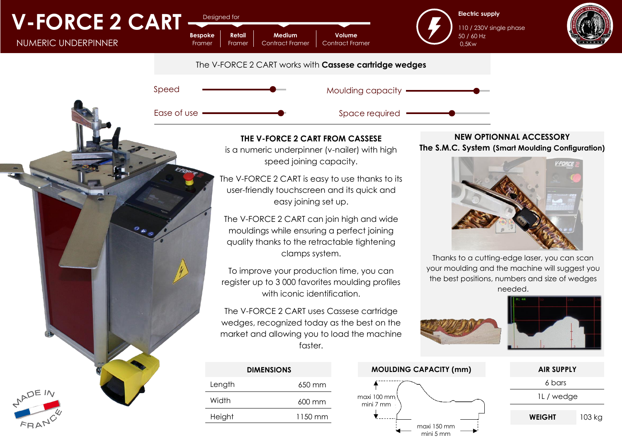